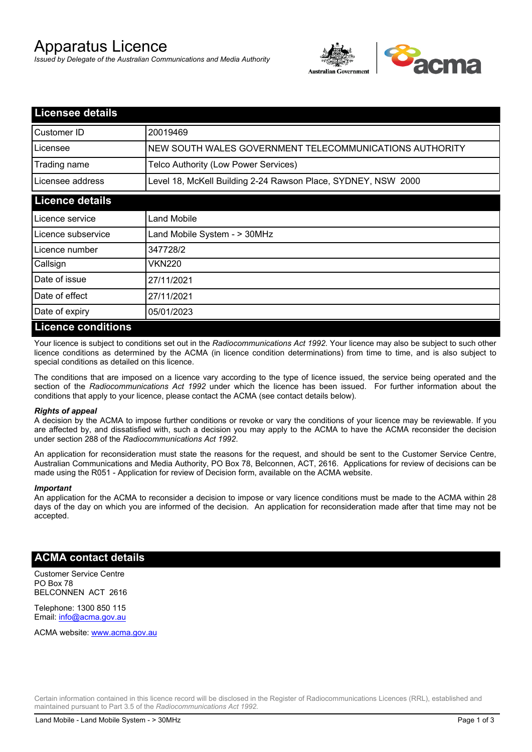# Apparatus Licence

*Issued by Delegate of the Australian Communications and Media Authority*



| <b>Licensee details</b> |                                                               |
|-------------------------|---------------------------------------------------------------|
| Customer ID             | 20019469                                                      |
| Licensee                | NEW SOUTH WALES GOVERNMENT TELECOMMUNICATIONS AUTHORITY       |
| Trading name            | Telco Authority (Low Power Services)                          |
| Licensee address        | Level 18, McKell Building 2-24 Rawson Place, SYDNEY, NSW 2000 |
| <b>Licence details</b>  |                                                               |
| l Licence service       | <b>Land Mobile</b>                                            |
| Licence subservice      | Land Mobile System - > 30MHz                                  |
| Licence number          | 347728/2                                                      |
| Callsign                | VKN220                                                        |
| Date of issue           | 27/11/2021                                                    |
| Date of effect          | 27/11/2021                                                    |
| Date of expiry          | 05/01/2023                                                    |
| Licence conditions      |                                                               |

## **Licence conditions**

Your licence is subject to conditions set out in the *Radiocommunications Act 1992*. Your licence may also be subject to such other licence conditions as determined by the ACMA (in licence condition determinations) from time to time, and is also subject to special conditions as detailed on this licence.

The conditions that are imposed on a licence vary according to the type of licence issued, the service being operated and the section of the *Radiocommunications Act 1992* under which the licence has been issued. For further information about the conditions that apply to your licence, please contact the ACMA (see contact details below).

#### *Rights of appeal*

A decision by the ACMA to impose further conditions or revoke or vary the conditions of your licence may be reviewable. If you are affected by, and dissatisfied with, such a decision you may apply to the ACMA to have the ACMA reconsider the decision under section 288 of the *Radiocommunications Act 1992*.

An application for reconsideration must state the reasons for the request, and should be sent to the Customer Service Centre, Australian Communications and Media Authority, PO Box 78, Belconnen, ACT, 2616. Applications for review of decisions can be made using the R051 - Application for review of Decision form, available on the ACMA website.

#### *Important*

An application for the ACMA to reconsider a decision to impose or vary licence conditions must be made to the ACMA within 28 days of the day on which you are informed of the decision. An application for reconsideration made after that time may not be accepted.

## **ACMA contact details**

Customer Service Centre PO Box 78 BELCONNEN ACT 2616

Telephone: 1300 850 115 Email: info@acma.gov.au

ACMA website: www.acma.gov.au

Certain information contained in this licence record will be disclosed in the Register of Radiocommunications Licences (RRL), established and maintained pursuant to Part 3.5 of the *Radiocommunications Act 1992.*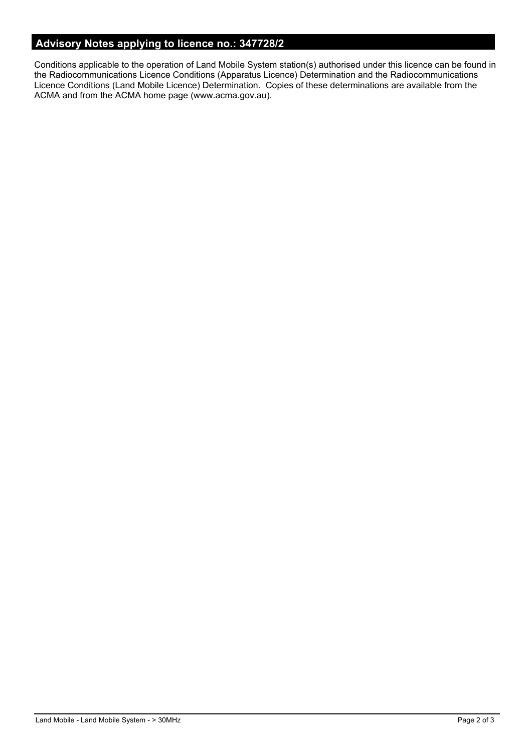# **Advisory Notes applying to licence no.: 347728/2**

Conditions applicable to the operation of Land Mobile System station(s) authorised under this licence can be found in the Radiocommunications Licence Conditions (Apparatus Licence) Determination and the Radiocommunications Licence Conditions (Land Mobile Licence) Determination. Copies of these determinations are available from the ACMA and from the ACMA home page (www.acma.gov.au).